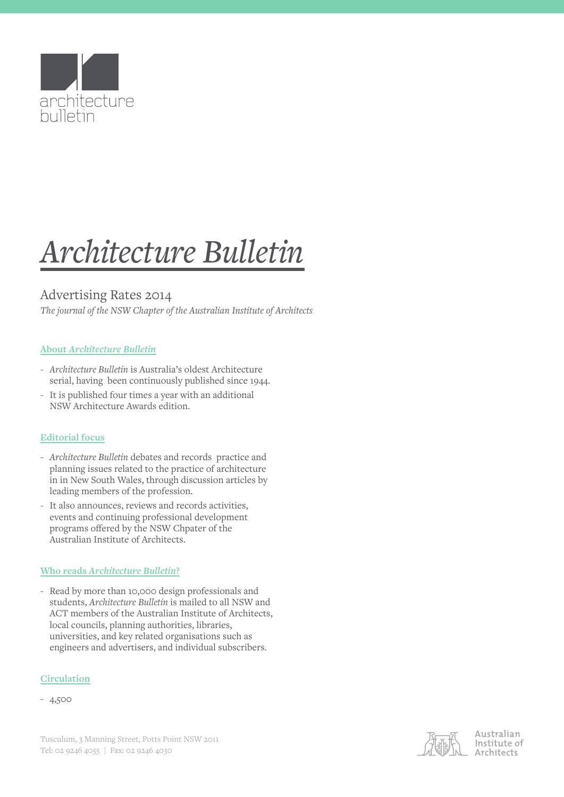

# *Architecture Bulletin*

# Advertising Rates 2014

*The journal of the NSW Chapter of the Australian Institute of Architects* 

# **About** *Architecture Bulletin*

- *Architecture Bulletin* is Australia's oldest Architecture serial, having been continuously published since 1944.
- It is published four times a year with an additional NSW Architecture Awards edition.

# **Editorial focus**

- *Architecture Bulletin* debates and records practice and planning issues related to the practice of architecture in in New South Wales, through discussion articles by leading members of the profession.
- It also announces, reviews and records activities, events and continuing professional development programs offered by the NSW Chpater of the Australian Institute of Architects.

### **Who reads** *Architecture Bulletin***?**

- Read by more than 10,000 design professionals and students, *Architecture Bulletin* is mailed to all NSW and ACT members of the Australian Institute of Architects, local councils, planning authorities, libraries, universities, and key related organisations such as engineers and advertisers, and individual subscribers.

### **Circulation**

- 4,500



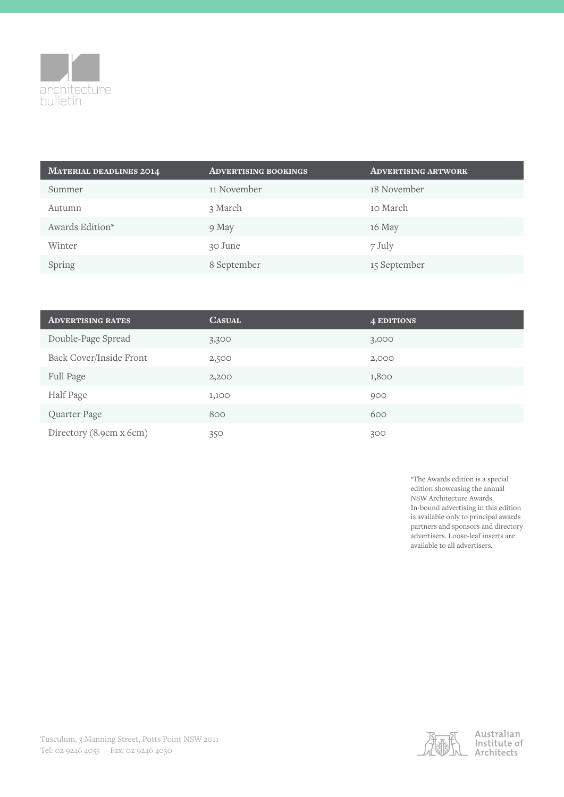

| <b>MATERIAL DEADLINES 2014</b> | <b>ADVERTISING BOOKINGS</b> | <b>ADVERTISING ARTWORK</b> |
|--------------------------------|-----------------------------|----------------------------|
| Summer                         | 11 November                 | 18 November                |
| Autumn                         | 3 March                     | 10 March                   |
| Awards Edition*                | 9 May                       | 16 May                     |
| Winter                         | 30 June                     | 7 July                     |
| Spring                         | 8 September                 | 15 September               |

| <b>ADVERTISING RATES</b> | <b>CASUAL</b> | <b>4 EDITIONS</b> |
|--------------------------|---------------|-------------------|
| Double-Page Spread       | 3,300         | 3,000             |
| Back Cover/Inside Front  | 2,500         | 2,000             |
| Full Page                | 2,200         | 1,800             |
| Half Page                | 1,100         | 900               |
| Quarter Page             | 800           | 600               |
| Directory (8.9cm x 6cm)  | 350           | 300               |

\*The Awards edition is a special edition showcasing the annual NSW Architecture Awards. In-bound advertising in this edition is available only to principal awards partners and sponsors and directory advertisers. Loose-leaf inserts are available to all advertisers.